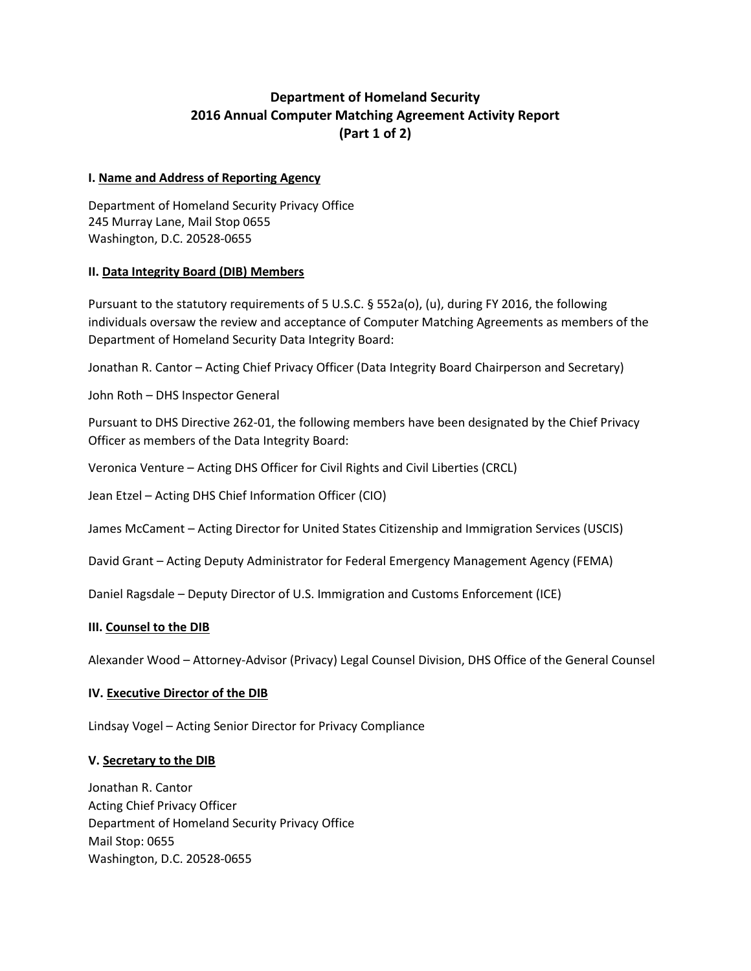# **Department of Homeland Security 2016 Annual Computer Matching Agreement Activity Report (Part 1 of 2)**

#### **I. Name and Address of Reporting Agency**

Department of Homeland Security Privacy Office 245 Murray Lane, Mail Stop 0655 Washington, D.C. 20528-0655

#### **II. Data Integrity Board (DIB) Members**

Pursuant to the statutory requirements of 5 U.S.C. § 552a(o), (u), during FY 2016, the following individuals oversaw the review and acceptance of Computer Matching Agreements as members of the Department of Homeland Security Data Integrity Board:

Jonathan R. Cantor – Acting Chief Privacy Officer (Data Integrity Board Chairperson and Secretary)

John Roth – DHS Inspector General

Pursuant to DHS Directive 262-01, the following members have been designated by the Chief Privacy Officer as members of the Data Integrity Board:

Veronica Venture – Acting DHS Officer for Civil Rights and Civil Liberties (CRCL)

Jean Etzel – Acting DHS Chief Information Officer (CIO)

James McCament – Acting Director for United States Citizenship and Immigration Services (USCIS)

David Grant – Acting Deputy Administrator for Federal Emergency Management Agency (FEMA)

Daniel Ragsdale – Deputy Director of U.S. Immigration and Customs Enforcement (ICE)

# **III. Counsel to the DIB**

Alexander Wood – Attorney-Advisor (Privacy) Legal Counsel Division, DHS Office of the General Counsel

# **IV. Executive Director of the DIB**

Lindsay Vogel – Acting Senior Director for Privacy Compliance

# **V. Secretary to the DIB**

Jonathan R. Cantor Acting Chief Privacy Officer Department of Homeland Security Privacy Office Mail Stop: 0655 Washington, D.C. 20528-0655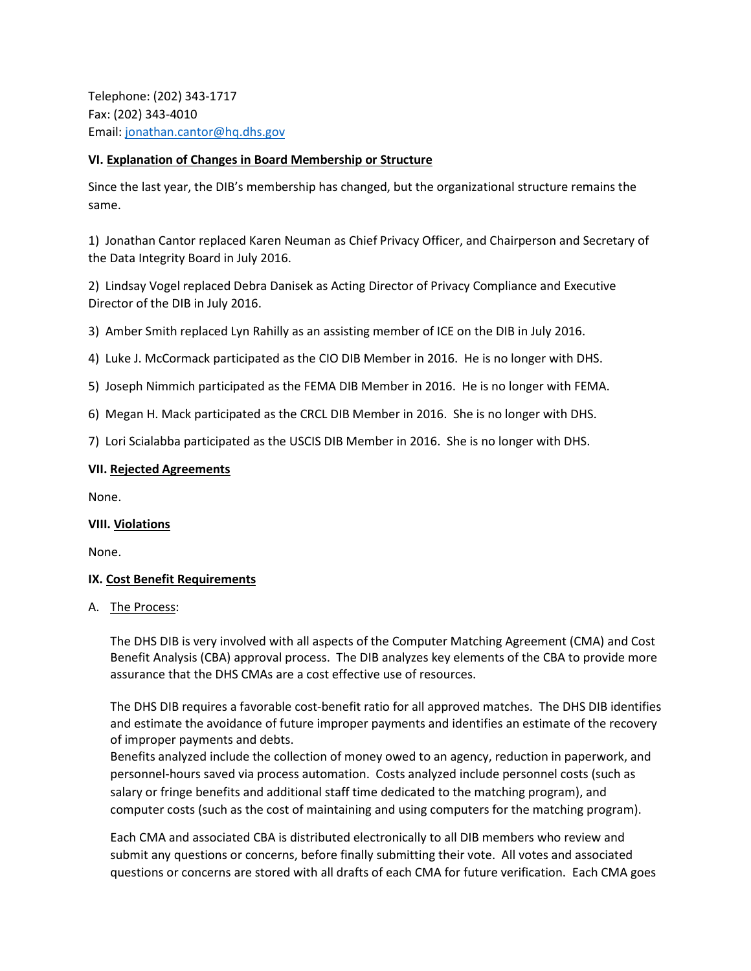Telephone: (202) 343-1717 Fax: (202) 343-4010 Email: [jonathan.cantor@hq.dhs.gov](mailto:jonathan.cantor@hq.dhs.gov)

### **VI. Explanation of Changes in Board Membership or Structure**

Since the last year, the DIB's membership has changed, but the organizational structure remains the same.

1) Jonathan Cantor replaced Karen Neuman as Chief Privacy Officer, and Chairperson and Secretary of the Data Integrity Board in July 2016.

2) Lindsay Vogel replaced Debra Danisek as Acting Director of Privacy Compliance and Executive Director of the DIB in July 2016.

3) Amber Smith replaced Lyn Rahilly as an assisting member of ICE on the DIB in July 2016.

4) Luke J. McCormack participated as the CIO DIB Member in 2016. He is no longer with DHS.

5) Joseph Nimmich participated as the FEMA DIB Member in 2016. He is no longer with FEMA.

6) Megan H. Mack participated as the CRCL DIB Member in 2016. She is no longer with DHS.

7) Lori Scialabba participated as the USCIS DIB Member in 2016. She is no longer with DHS.

#### **VII. Rejected Agreements**

None.

#### **VIII. Violations**

None.

# **IX. Cost Benefit Requirements**

A. The Process:

The DHS DIB is very involved with all aspects of the Computer Matching Agreement (CMA) and Cost Benefit Analysis (CBA) approval process. The DIB analyzes key elements of the CBA to provide more assurance that the DHS CMAs are a cost effective use of resources.

The DHS DIB requires a favorable cost-benefit ratio for all approved matches. The DHS DIB identifies and estimate the avoidance of future improper payments and identifies an estimate of the recovery of improper payments and debts.

Benefits analyzed include the collection of money owed to an agency, reduction in paperwork, and personnel-hours saved via process automation. Costs analyzed include personnel costs (such as salary or fringe benefits and additional staff time dedicated to the matching program), and computer costs (such as the cost of maintaining and using computers for the matching program).

Each CMA and associated CBA is distributed electronically to all DIB members who review and submit any questions or concerns, before finally submitting their vote. All votes and associated questions or concerns are stored with all drafts of each CMA for future verification. Each CMA goes